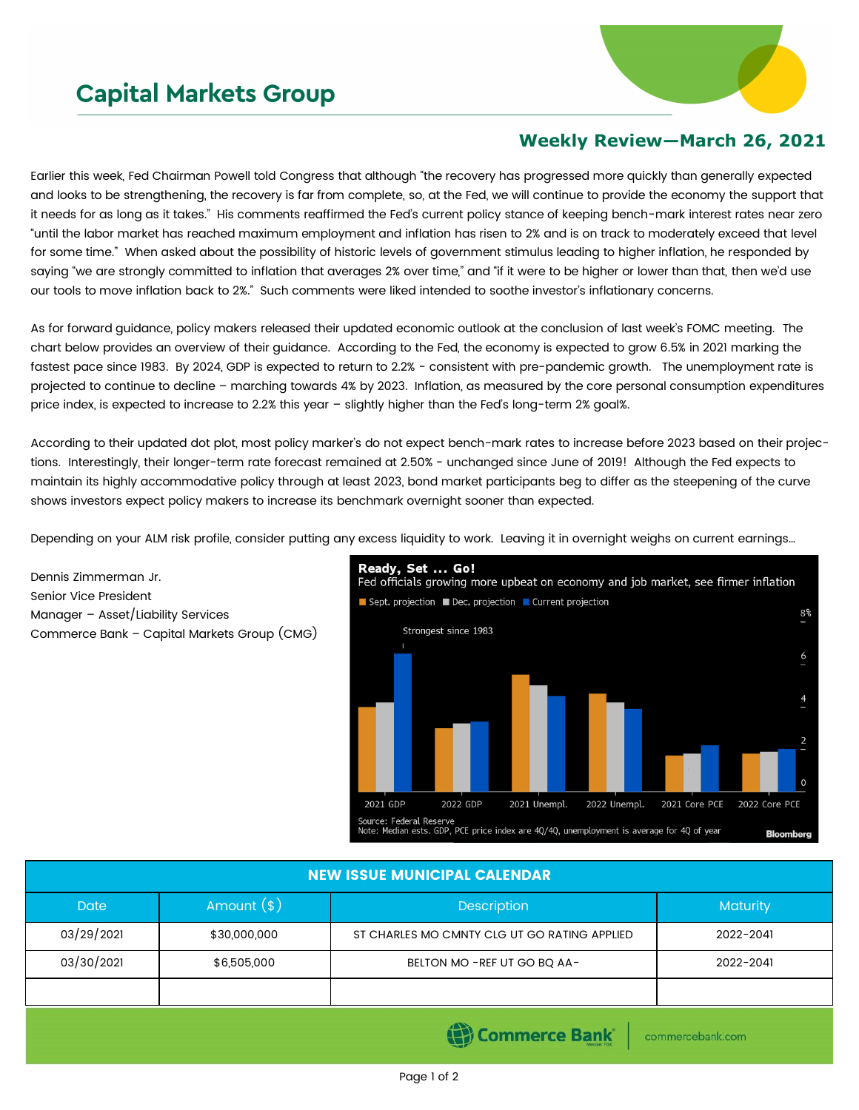## **Capital Markets Group**



## **Weekly Review—March 26, 2021**

Earlier this week, Fed Chairman Powell told Congress that although "the recovery has progressed more quickly than generally expected and looks to be strengthening, the recovery is far from complete, so, at the Fed, we will continue to provide the economy the support that it needs for as long as it takes." His comments reaffirmed the Fed's current policy stance of keeping bench-mark interest rates near zero "until the labor market has reached maximum employment and inflation has risen to 2% and is on track to moderately exceed that level for some time." When asked about the possibility of historic levels of government stimulus leading to higher inflation, he responded by saying "we are strongly committed to inflation that averages 2% over time," and "if it were to be higher or lower than that, then we'd use our tools to move inflation back to 2%." Such comments were liked intended to soothe investor's inflationary concerns.

As for forward guidance, policy makers released their updated economic outlook at the conclusion of last week's FOMC meeting. The chart below provides an overview of their guidance. According to the Fed, the economy is expected to grow 6.5% in 2021 marking the fastest pace since 1983. By 2024, GDP is expected to return to 2.2% - consistent with pre-pandemic growth. The unemployment rate is projected to continue to decline – marching towards 4% by 2023. Inflation, as measured by the core personal consumption expenditures price index, is expected to increase to 2.2% this year – slightly higher than the Fed's long-term 2% goal%.

According to their updated dot plot, most policy marker's do not expect bench-mark rates to increase before 2023 based on their projections. Interestingly, their longer-term rate forecast remained at 2.50% - unchanged since June of 2019! Although the Fed expects to maintain its highly accommodative policy through at least 2023, bond market participants beg to differ as the steepening of the curve shows investors expect policy makers to increase its benchmark overnight sooner than expected.

Depending on your ALM risk profile, consider putting any excess liquidity to work. Leaving it in overnight weighs on current earnings…

Dennis Zimmerman Jr. Senior Vice President Manager – Asset/Liability Services Commerce Bank – Capital Markets Group (CMG)



## NEW ISSUE MUNICIPAL CALENDAR

| <b>Date</b> | Amount $(*)$ | <b>Description</b>                           | Maturity  |  |  |  |
|-------------|--------------|----------------------------------------------|-----------|--|--|--|
| 03/29/2021  | \$30,000,000 | ST CHARLES MO CMNTY CLG UT GO RATING APPLIED | 2022-2041 |  |  |  |
| 03/30/2021  | \$6,505,000  | BELTON MO - REF UT GO BQ AA-                 | 2022-2041 |  |  |  |
|             |              |                                              |           |  |  |  |
|             |              |                                              |           |  |  |  |

(B) Commerce Bank

commercebank.com